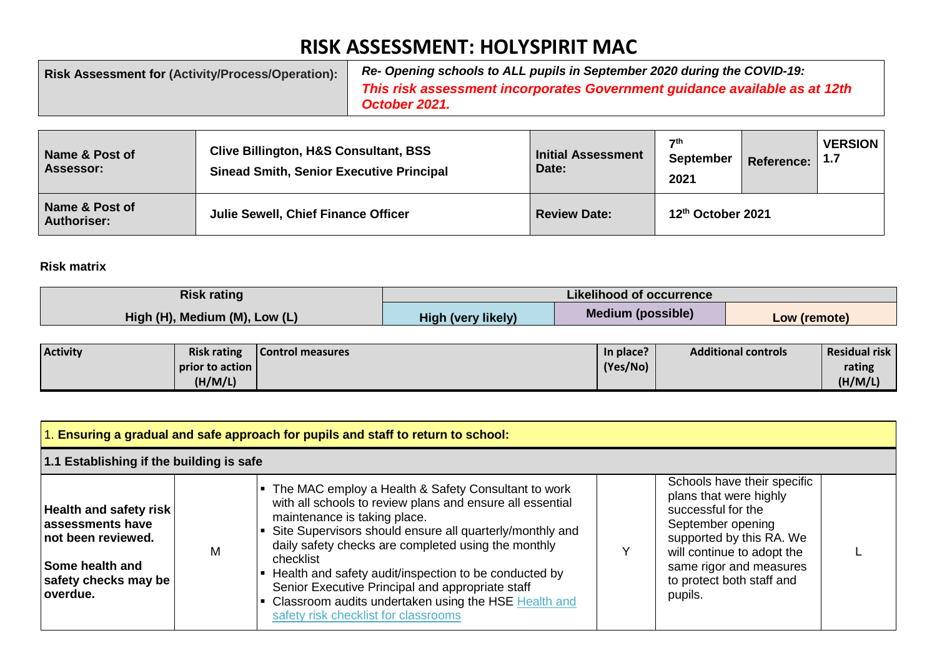## **RISK ASSESSMENT: HOLYSPIRIT MAC**

| <b>Risk Assessment for (Activity/Process/Operation):</b> | Re- Opening schools to ALL pupils in September 2020 during the COVID-19:   |
|----------------------------------------------------------|----------------------------------------------------------------------------|
|                                                          | This risk assessment incorporates Government guidance available as at 12th |
|                                                          | October 2021.                                                              |

| Name & Post of<br><b>Assessor:</b>   | <b>Clive Billington, H&amp;S Consultant, BSS</b><br><b>Sinead Smith, Senior Executive Principal</b> | Initial Assessment<br>Date: | $\mathbf{7}$ th<br><b>September</b><br>2021 | <b>Reference:</b> | <b>VERSION</b><br>∣ 1.7 |
|--------------------------------------|-----------------------------------------------------------------------------------------------------|-----------------------------|---------------------------------------------|-------------------|-------------------------|
| Name & Post of<br><b>Authoriser:</b> | <b>Julie Sewell, Chief Finance Officer</b>                                                          | <b>Review Date:</b>         | 12th October 2021                           |                   |                         |

## **Risk matrix**

| <b>Risk rating</b>            | <b>Likelihood of occurrence</b> |                          |              |  |  |  |
|-------------------------------|---------------------------------|--------------------------|--------------|--|--|--|
| High (H), Medium (M), Low (L) | <b>High (very likely)</b>       | <b>Medium (possible)</b> | Low (remote) |  |  |  |

| <b>Activity</b> | <b>Risk rating</b> | Control measures | In place? | <b>Additional controls</b> | <b>Residual risk</b> |
|-----------------|--------------------|------------------|-----------|----------------------------|----------------------|
|                 | prior to action I  |                  | (Yes/No)  |                            | rating               |
|                 | (H/M/L)            |                  |           |                            | (H/M/L)              |

| 1. Ensuring a gradual and safe approach for pupils and staff to return to school:                                                       |   |                                                                                                                                                                                                                                                                                                                                                                                                                                                                                                 |  |                                                                                                                                                                                                                               |  |
|-----------------------------------------------------------------------------------------------------------------------------------------|---|-------------------------------------------------------------------------------------------------------------------------------------------------------------------------------------------------------------------------------------------------------------------------------------------------------------------------------------------------------------------------------------------------------------------------------------------------------------------------------------------------|--|-------------------------------------------------------------------------------------------------------------------------------------------------------------------------------------------------------------------------------|--|
| 1.1 Establishing if the building is safe                                                                                                |   |                                                                                                                                                                                                                                                                                                                                                                                                                                                                                                 |  |                                                                                                                                                                                                                               |  |
| <b>Health and safety risk</b><br>assessments have<br>not been reviewed.<br><b>Some health and</b><br>safety checks may be<br>l overdue. | М | • The MAC employ a Health & Safety Consultant to work<br>with all schools to review plans and ensure all essential<br>maintenance is taking place.<br>Site Supervisors should ensure all quarterly/monthly and<br>daily safety checks are completed using the monthly<br>checklist<br>Health and safety audit/inspection to be conducted by<br>Senior Executive Principal and appropriate staff<br>Classroom audits undertaken using the HSE Health and<br>safety risk checklist for classrooms |  | Schools have their specific<br>plans that were highly<br>successful for the<br>September opening<br>supported by this RA. We<br>will continue to adopt the<br>same rigor and measures<br>to protect both staff and<br>pupils. |  |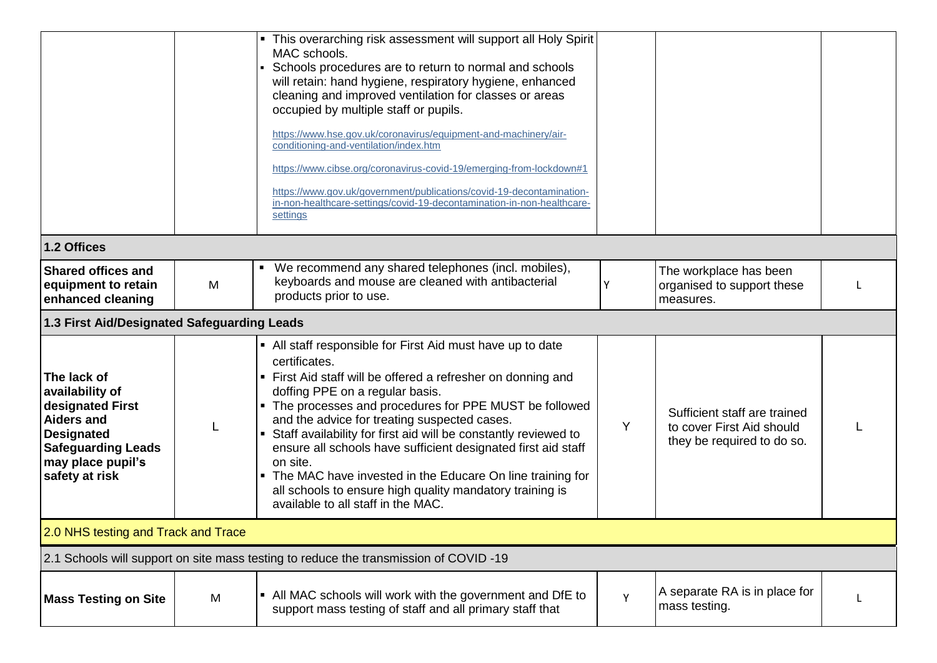|                                                                                                                                                                  |   | • This overarching risk assessment will support all Holy Spirit<br>MAC schools.<br>Schools procedures are to return to normal and schools<br>will retain: hand hygiene, respiratory hygiene, enhanced<br>cleaning and improved ventilation for classes or areas<br>occupied by multiple staff or pupils.<br>https://www.hse.gov.uk/coronavirus/equipment-and-machinery/air-<br>conditioning-and-ventilation/index.htm<br>https://www.cibse.org/coronavirus-covid-19/emerging-from-lockdown#1<br>https://www.gov.uk/government/publications/covid-19-decontamination-<br>in-non-healthcare-settings/covid-19-decontamination-in-non-healthcare-<br>settings |   |                                                                                         |  |
|------------------------------------------------------------------------------------------------------------------------------------------------------------------|---|------------------------------------------------------------------------------------------------------------------------------------------------------------------------------------------------------------------------------------------------------------------------------------------------------------------------------------------------------------------------------------------------------------------------------------------------------------------------------------------------------------------------------------------------------------------------------------------------------------------------------------------------------------|---|-----------------------------------------------------------------------------------------|--|
| 1.2 Offices                                                                                                                                                      |   |                                                                                                                                                                                                                                                                                                                                                                                                                                                                                                                                                                                                                                                            |   |                                                                                         |  |
| <b>Shared offices and</b><br>equipment to retain<br>enhanced cleaning                                                                                            | M | We recommend any shared telephones (incl. mobiles),<br>keyboards and mouse are cleaned with antibacterial<br>products prior to use.                                                                                                                                                                                                                                                                                                                                                                                                                                                                                                                        | Y | The workplace has been<br>organised to support these<br>measures.                       |  |
| 1.3 First Aid/Designated Safeguarding Leads                                                                                                                      |   |                                                                                                                                                                                                                                                                                                                                                                                                                                                                                                                                                                                                                                                            |   |                                                                                         |  |
| The lack of<br>availability of<br>designated First<br><b>Aiders and</b><br><b>Designated</b><br><b>Safeguarding Leads</b><br>may place pupil's<br>safety at risk | L | • All staff responsible for First Aid must have up to date<br>certificates.<br>• First Aid staff will be offered a refresher on donning and<br>doffing PPE on a regular basis.<br>• The processes and procedures for PPE MUST be followed<br>and the advice for treating suspected cases.<br>Staff availability for first aid will be constantly reviewed to<br>$\blacksquare$<br>ensure all schools have sufficient designated first aid staff<br>on site.<br>• The MAC have invested in the Educare On line training for<br>all schools to ensure high quality mandatory training is<br>available to all staff in the MAC.                               | Y | Sufficient staff are trained<br>to cover First Aid should<br>they be required to do so. |  |
| 2.0 NHS testing and Track and Trace                                                                                                                              |   |                                                                                                                                                                                                                                                                                                                                                                                                                                                                                                                                                                                                                                                            |   |                                                                                         |  |
|                                                                                                                                                                  |   | 2.1 Schools will support on site mass testing to reduce the transmission of COVID-19                                                                                                                                                                                                                                                                                                                                                                                                                                                                                                                                                                       |   |                                                                                         |  |
| <b>Mass Testing on Site</b>                                                                                                                                      | M | • All MAC schools will work with the government and DfE to<br>support mass testing of staff and all primary staff that                                                                                                                                                                                                                                                                                                                                                                                                                                                                                                                                     | Y | A separate RA is in place for<br>mass testing.                                          |  |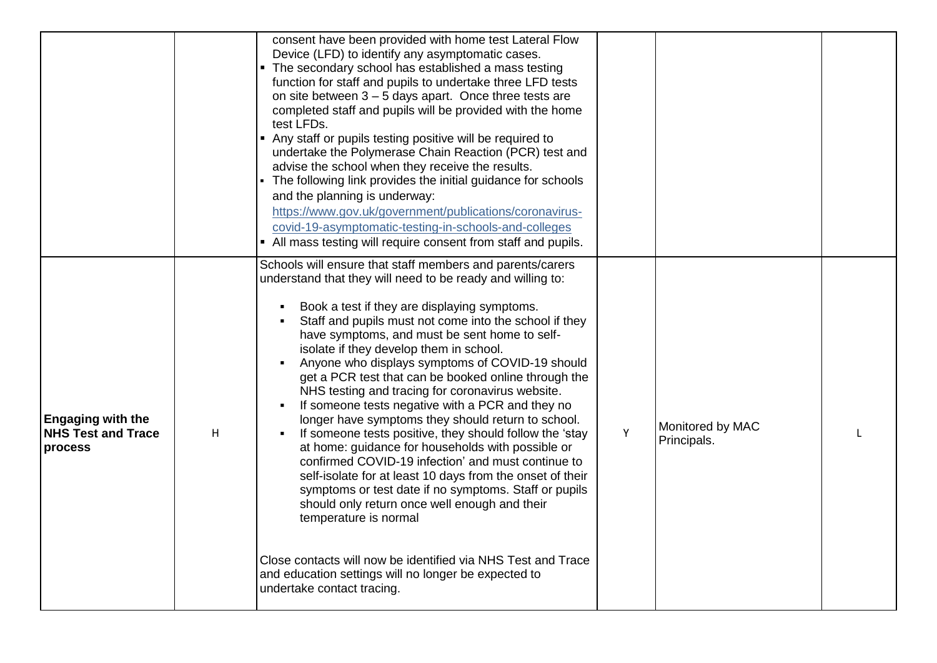|                                                                  |   | consent have been provided with home test Lateral Flow<br>Device (LFD) to identify any asymptomatic cases.<br>• The secondary school has established a mass testing<br>function for staff and pupils to undertake three LFD tests<br>on site between $3 - 5$ days apart. Once three tests are<br>completed staff and pupils will be provided with the home<br>test LFDs.<br>• Any staff or pupils testing positive will be required to<br>undertake the Polymerase Chain Reaction (PCR) test and<br>advise the school when they receive the results.<br>• The following link provides the initial guidance for schools<br>and the planning is underway:<br>https://www.gov.uk/government/publications/coronavirus-<br>covid-19-asymptomatic-testing-in-schools-and-colleges<br>• All mass testing will require consent from staff and pupils.                                                                                                                                                                                                                                                                                                             |   |                                 |  |
|------------------------------------------------------------------|---|-----------------------------------------------------------------------------------------------------------------------------------------------------------------------------------------------------------------------------------------------------------------------------------------------------------------------------------------------------------------------------------------------------------------------------------------------------------------------------------------------------------------------------------------------------------------------------------------------------------------------------------------------------------------------------------------------------------------------------------------------------------------------------------------------------------------------------------------------------------------------------------------------------------------------------------------------------------------------------------------------------------------------------------------------------------------------------------------------------------------------------------------------------------|---|---------------------------------|--|
| <b>Engaging with the</b><br><b>NHS Test and Trace</b><br>process | Н | Schools will ensure that staff members and parents/carers<br>understand that they will need to be ready and willing to:<br>Book a test if they are displaying symptoms.<br>٠<br>Staff and pupils must not come into the school if they<br>have symptoms, and must be sent home to self-<br>isolate if they develop them in school.<br>Anyone who displays symptoms of COVID-19 should<br>get a PCR test that can be booked online through the<br>NHS testing and tracing for coronavirus website.<br>If someone tests negative with a PCR and they no<br>$\blacksquare$<br>longer have symptoms they should return to school.<br>If someone tests positive, they should follow the 'stay<br>at home: guidance for households with possible or<br>confirmed COVID-19 infection' and must continue to<br>self-isolate for at least 10 days from the onset of their<br>symptoms or test date if no symptoms. Staff or pupils<br>should only return once well enough and their<br>temperature is normal<br>Close contacts will now be identified via NHS Test and Trace<br>and education settings will no longer be expected to<br>undertake contact tracing. | Y | Monitored by MAC<br>Principals. |  |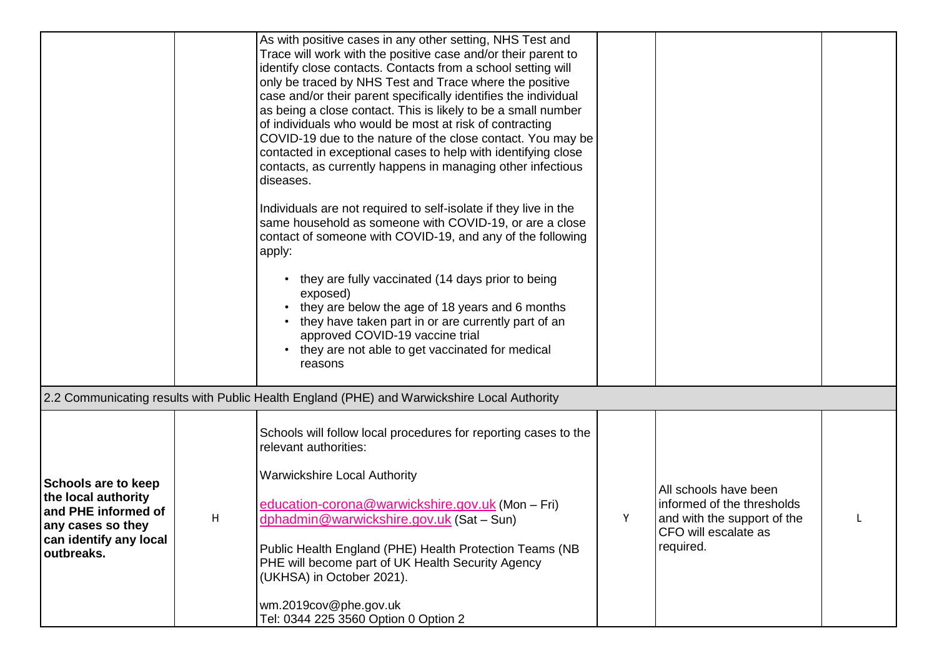|                                                                                                                                       |   | As with positive cases in any other setting, NHS Test and<br>Trace will work with the positive case and/or their parent to<br>identify close contacts. Contacts from a school setting will<br>only be traced by NHS Test and Trace where the positive<br>case and/or their parent specifically identifies the individual<br>as being a close contact. This is likely to be a small number<br>of individuals who would be most at risk of contracting<br>COVID-19 due to the nature of the close contact. You may be<br>contacted in exceptional cases to help with identifying close<br>contacts, as currently happens in managing other infectious<br>diseases.<br>Individuals are not required to self-isolate if they live in the<br>same household as someone with COVID-19, or are a close<br>contact of someone with COVID-19, and any of the following<br>apply:<br>they are fully vaccinated (14 days prior to being<br>$\bullet$<br>exposed)<br>they are below the age of 18 years and 6 months<br>they have taken part in or are currently part of an<br>approved COVID-19 vaccine trial<br>they are not able to get vaccinated for medical<br>reasons |   |                                                                                                                         |  |
|---------------------------------------------------------------------------------------------------------------------------------------|---|------------------------------------------------------------------------------------------------------------------------------------------------------------------------------------------------------------------------------------------------------------------------------------------------------------------------------------------------------------------------------------------------------------------------------------------------------------------------------------------------------------------------------------------------------------------------------------------------------------------------------------------------------------------------------------------------------------------------------------------------------------------------------------------------------------------------------------------------------------------------------------------------------------------------------------------------------------------------------------------------------------------------------------------------------------------------------------------------------------------------------------------------------------------|---|-------------------------------------------------------------------------------------------------------------------------|--|
|                                                                                                                                       |   | 2.2 Communicating results with Public Health England (PHE) and Warwickshire Local Authority                                                                                                                                                                                                                                                                                                                                                                                                                                                                                                                                                                                                                                                                                                                                                                                                                                                                                                                                                                                                                                                                      |   |                                                                                                                         |  |
| <b>Schools are to keep</b><br>the local authority<br>and PHE informed of<br>any cases so they<br>can identify any local<br>outbreaks. | Н | Schools will follow local procedures for reporting cases to the<br>relevant authorities:<br><b>Warwickshire Local Authority</b><br>education-corona@warwickshire.gov.uk (Mon - Fri)<br>dphadmin@warwickshire.gov.uk (Sat - Sun)<br>Public Health England (PHE) Health Protection Teams (NB<br>PHE will become part of UK Health Security Agency<br>(UKHSA) in October 2021).<br>wm.2019cov@phe.gov.uk<br>Tel: 0344 225 3560 Option 0 Option 2                                                                                                                                                                                                                                                                                                                                                                                                                                                                                                                                                                                                                                                                                                                    | Y | All schools have been<br>informed of the thresholds<br>and with the support of the<br>CFO will escalate as<br>required. |  |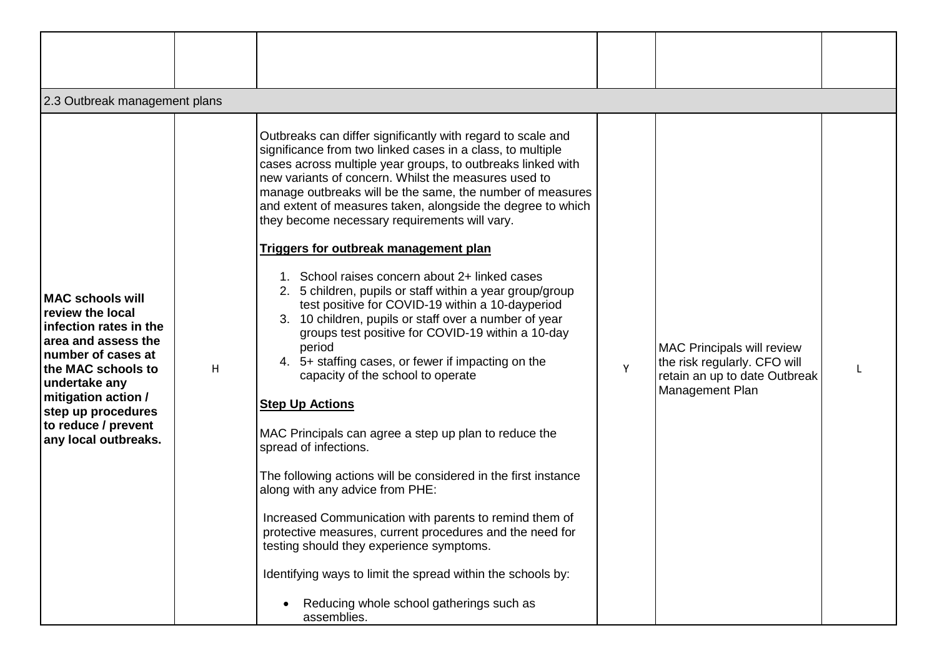| 2.3 Outbreak management plans                                                                                                                                                                                                                           |   |                                                                                                                                                                                                                                                                                                                                                                                                                                                                                                                                                                                                                                                                                                                                                                                                                                                                                                                                                                                                                                                                                                                                                                                                                                                                                                                                                                                       |   |                                                                                                                       |  |
|---------------------------------------------------------------------------------------------------------------------------------------------------------------------------------------------------------------------------------------------------------|---|---------------------------------------------------------------------------------------------------------------------------------------------------------------------------------------------------------------------------------------------------------------------------------------------------------------------------------------------------------------------------------------------------------------------------------------------------------------------------------------------------------------------------------------------------------------------------------------------------------------------------------------------------------------------------------------------------------------------------------------------------------------------------------------------------------------------------------------------------------------------------------------------------------------------------------------------------------------------------------------------------------------------------------------------------------------------------------------------------------------------------------------------------------------------------------------------------------------------------------------------------------------------------------------------------------------------------------------------------------------------------------------|---|-----------------------------------------------------------------------------------------------------------------------|--|
| <b>IMAC schools will</b><br>review the local<br>infection rates in the<br>area and assess the<br>Inumber of cases at<br>the MAC schools to<br>undertake any<br>mitigation action /<br>step up procedures<br>to reduce / prevent<br>any local outbreaks. | H | Outbreaks can differ significantly with regard to scale and<br>significance from two linked cases in a class, to multiple<br>cases across multiple year groups, to outbreaks linked with<br>new variants of concern. Whilst the measures used to<br>manage outbreaks will be the same, the number of measures<br>and extent of measures taken, alongside the degree to which<br>they become necessary requirements will vary.<br>Triggers for outbreak management plan<br>1. School raises concern about 2+ linked cases<br>2. 5 children, pupils or staff within a year group/group<br>test positive for COVID-19 within a 10-dayperiod<br>3. 10 children, pupils or staff over a number of year<br>groups test positive for COVID-19 within a 10-day<br>period<br>4. 5+ staffing cases, or fewer if impacting on the<br>capacity of the school to operate<br><b>Step Up Actions</b><br>MAC Principals can agree a step up plan to reduce the<br>spread of infections.<br>The following actions will be considered in the first instance<br>along with any advice from PHE:<br>Increased Communication with parents to remind them of<br>protective measures, current procedures and the need for<br>testing should they experience symptoms.<br>Identifying ways to limit the spread within the schools by:<br>Reducing whole school gatherings such as<br>$\bullet$<br>assemblies. | Υ | <b>MAC Principals will review</b><br>the risk regularly. CFO will<br>retain an up to date Outbreak<br>Management Plan |  |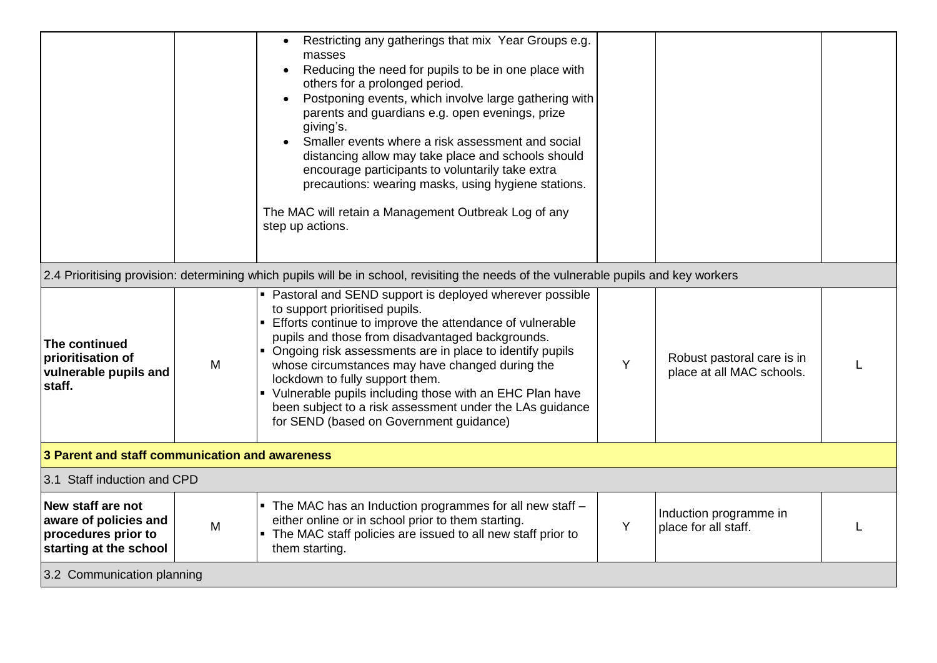|                                                                                             |                            | Restricting any gatherings that mix Year Groups e.g.<br>$\bullet$<br>masses<br>Reducing the need for pupils to be in one place with<br>$\bullet$<br>others for a prolonged period.<br>Postponing events, which involve large gathering with<br>$\bullet$<br>parents and guardians e.g. open evenings, prize<br>giving's.<br>Smaller events where a risk assessment and social<br>distancing allow may take place and schools should<br>encourage participants to voluntarily take extra<br>precautions: wearing masks, using hygiene stations.<br>The MAC will retain a Management Outbreak Log of any<br>step up actions. |   |                                                         |  |  |  |
|---------------------------------------------------------------------------------------------|----------------------------|----------------------------------------------------------------------------------------------------------------------------------------------------------------------------------------------------------------------------------------------------------------------------------------------------------------------------------------------------------------------------------------------------------------------------------------------------------------------------------------------------------------------------------------------------------------------------------------------------------------------------|---|---------------------------------------------------------|--|--|--|
|                                                                                             |                            | 2.4 Prioritising provision: determining which pupils will be in school, revisiting the needs of the vulnerable pupils and key workers                                                                                                                                                                                                                                                                                                                                                                                                                                                                                      |   |                                                         |  |  |  |
| The continued<br>prioritisation of<br>vulnerable pupils and<br>staff.                       | M                          | • Pastoral and SEND support is deployed wherever possible<br>to support prioritised pupils.<br>• Efforts continue to improve the attendance of vulnerable<br>pupils and those from disadvantaged backgrounds.<br>• Ongoing risk assessments are in place to identify pupils<br>whose circumstances may have changed during the<br>lockdown to fully support them.<br>• Vulnerable pupils including those with an EHC Plan have<br>been subject to a risk assessment under the LAs guidance<br>for SEND (based on Government guidance)                                                                                      | Y | Robust pastoral care is in<br>place at all MAC schools. |  |  |  |
| 3 Parent and staff communication and awareness                                              |                            |                                                                                                                                                                                                                                                                                                                                                                                                                                                                                                                                                                                                                            |   |                                                         |  |  |  |
| 3.1 Staff induction and CPD                                                                 |                            |                                                                                                                                                                                                                                                                                                                                                                                                                                                                                                                                                                                                                            |   |                                                         |  |  |  |
| New staff are not<br>aware of policies and<br>procedures prior to<br>starting at the school | M                          | . The MAC has an Induction programmes for all new staff -<br>either online or in school prior to them starting.<br>• The MAC staff policies are issued to all new staff prior to<br>them starting.                                                                                                                                                                                                                                                                                                                                                                                                                         | Y | Induction programme in<br>place for all staff.          |  |  |  |
|                                                                                             | 3.2 Communication planning |                                                                                                                                                                                                                                                                                                                                                                                                                                                                                                                                                                                                                            |   |                                                         |  |  |  |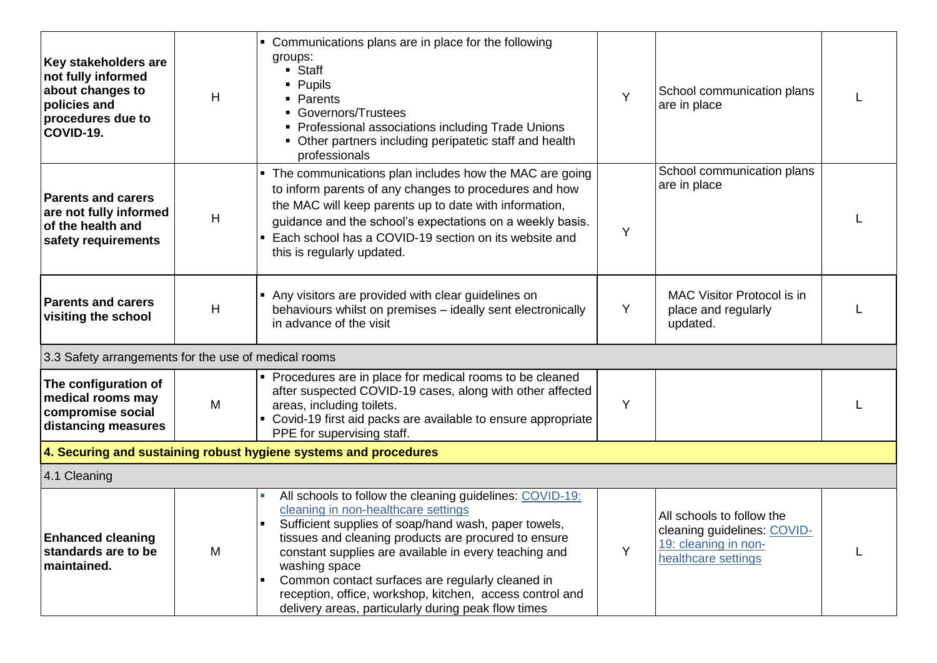| Key stakeholders are<br>not fully informed<br>about changes to<br>policies and<br>procedures due to<br>COVID-19. | H | • Communications plans are in place for the following<br>groups:<br>• Staff<br>• Pupils<br>Parents<br>Governors/Trustees<br>• Professional associations including Trade Unions<br>• Other partners including peripatetic staff and health<br>professionals                                                                                                                                                                                                       | Y | School communication plans<br>are in place                                                              |  |  |
|------------------------------------------------------------------------------------------------------------------|---|------------------------------------------------------------------------------------------------------------------------------------------------------------------------------------------------------------------------------------------------------------------------------------------------------------------------------------------------------------------------------------------------------------------------------------------------------------------|---|---------------------------------------------------------------------------------------------------------|--|--|
| <b>Parents and carers</b><br>are not fully informed<br>of the health and<br>safety requirements                  | H | • The communications plan includes how the MAC are going<br>to inform parents of any changes to procedures and how<br>the MAC will keep parents up to date with information,<br>guidance and the school's expectations on a weekly basis.<br>Each school has a COVID-19 section on its website and<br>this is regularly updated.                                                                                                                                 | Y | School communication plans<br>are in place                                                              |  |  |
| <b>Parents and carers</b><br>visiting the school                                                                 | H | • Any visitors are provided with clear guidelines on<br>behaviours whilst on premises - ideally sent electronically<br>in advance of the visit                                                                                                                                                                                                                                                                                                                   | Y | MAC Visitor Protocol is in<br>place and regularly<br>updated.                                           |  |  |
| 3.3 Safety arrangements for the use of medical rooms                                                             |   |                                                                                                                                                                                                                                                                                                                                                                                                                                                                  |   |                                                                                                         |  |  |
| The configuration of<br>medical rooms may<br>compromise social<br>distancing measures                            | M | • Procedures are in place for medical rooms to be cleaned<br>after suspected COVID-19 cases, along with other affected<br>areas, including toilets.<br>• Covid-19 first aid packs are available to ensure appropriate<br>PPE for supervising staff.                                                                                                                                                                                                              | Υ |                                                                                                         |  |  |
| 4. Securing and sustaining robust hygiene systems and procedures                                                 |   |                                                                                                                                                                                                                                                                                                                                                                                                                                                                  |   |                                                                                                         |  |  |
| 4.1 Cleaning                                                                                                     |   |                                                                                                                                                                                                                                                                                                                                                                                                                                                                  |   |                                                                                                         |  |  |
| <b>Enhanced cleaning</b><br>standards are to be<br>maintained.                                                   | M | All schools to follow the cleaning guidelines: COVID-19:<br>cleaning in non-healthcare settings<br>Sufficient supplies of soap/hand wash, paper towels,<br>tissues and cleaning products are procured to ensure<br>constant supplies are available in every teaching and<br>washing space<br>Common contact surfaces are regularly cleaned in<br>reception, office, workshop, kitchen, access control and<br>delivery areas, particularly during peak flow times | Y | All schools to follow the<br>cleaning guidelines: COVID-<br>19: cleaning in non-<br>healthcare settings |  |  |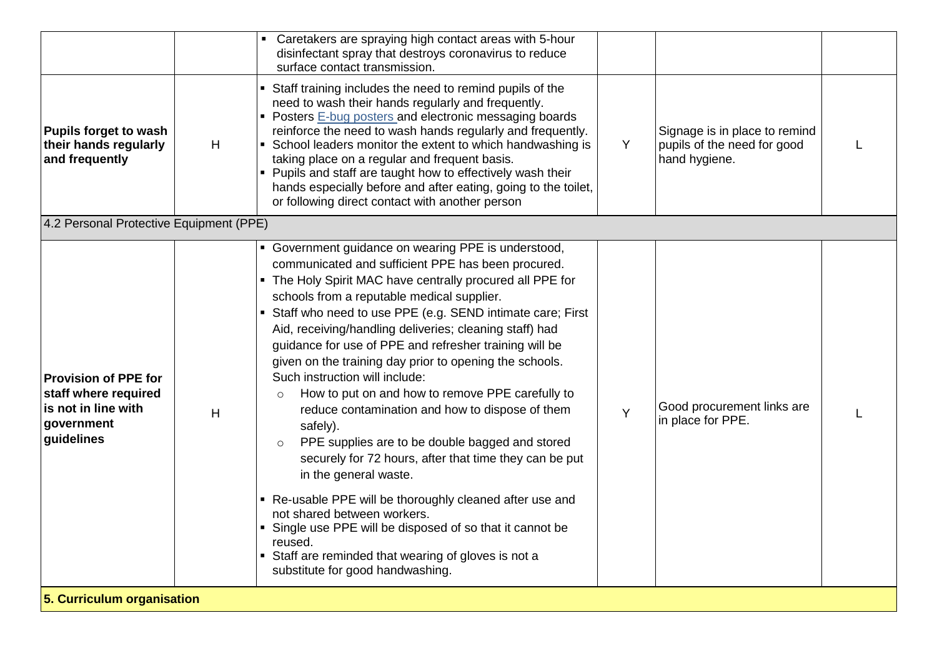|                                                                                                        |   | Caretakers are spraying high contact areas with 5-hour<br>disinfectant spray that destroys coronavirus to reduce<br>surface contact transmission.                                                                                                                                                                                                                                                                                                                                                                                                                                                                                                                                                                                                                                                                                                                                                                                                                                                                                                   |   |                                                                               |   |
|--------------------------------------------------------------------------------------------------------|---|-----------------------------------------------------------------------------------------------------------------------------------------------------------------------------------------------------------------------------------------------------------------------------------------------------------------------------------------------------------------------------------------------------------------------------------------------------------------------------------------------------------------------------------------------------------------------------------------------------------------------------------------------------------------------------------------------------------------------------------------------------------------------------------------------------------------------------------------------------------------------------------------------------------------------------------------------------------------------------------------------------------------------------------------------------|---|-------------------------------------------------------------------------------|---|
| <b>Pupils forget to wash</b><br>their hands regularly<br>and frequently                                | H | • Staff training includes the need to remind pupils of the<br>need to wash their hands regularly and frequently.<br>• Posters E-bug posters and electronic messaging boards<br>reinforce the need to wash hands regularly and frequently.<br>• School leaders monitor the extent to which handwashing is<br>taking place on a regular and frequent basis.<br>• Pupils and staff are taught how to effectively wash their<br>hands especially before and after eating, going to the toilet,<br>or following direct contact with another person                                                                                                                                                                                                                                                                                                                                                                                                                                                                                                       | Y | Signage is in place to remind<br>pupils of the need for good<br>hand hygiene. | L |
| 4.2 Personal Protective Equipment (PPE)                                                                |   |                                                                                                                                                                                                                                                                                                                                                                                                                                                                                                                                                                                                                                                                                                                                                                                                                                                                                                                                                                                                                                                     |   |                                                                               |   |
| <b>Provision of PPE for</b><br>staff where required<br>is not in line with<br>government<br>guidelines | H | • Government guidance on wearing PPE is understood,<br>communicated and sufficient PPE has been procured.<br>• The Holy Spirit MAC have centrally procured all PPE for<br>schools from a reputable medical supplier.<br>• Staff who need to use PPE (e.g. SEND intimate care; First<br>Aid, receiving/handling deliveries; cleaning staff) had<br>guidance for use of PPE and refresher training will be<br>given on the training day prior to opening the schools.<br>Such instruction will include:<br>How to put on and how to remove PPE carefully to<br>$\circ$<br>reduce contamination and how to dispose of them<br>safely).<br>PPE supplies are to be double bagged and stored<br>$\circ$<br>securely for 72 hours, after that time they can be put<br>in the general waste.<br>• Re-usable PPE will be thoroughly cleaned after use and<br>not shared between workers.<br>• Single use PPE will be disposed of so that it cannot be<br>reused.<br>• Staff are reminded that wearing of gloves is not a<br>substitute for good handwashing. | Y | Good procurement links are<br>in place for PPE.                               |   |
| 5. Curriculum organisation                                                                             |   |                                                                                                                                                                                                                                                                                                                                                                                                                                                                                                                                                                                                                                                                                                                                                                                                                                                                                                                                                                                                                                                     |   |                                                                               |   |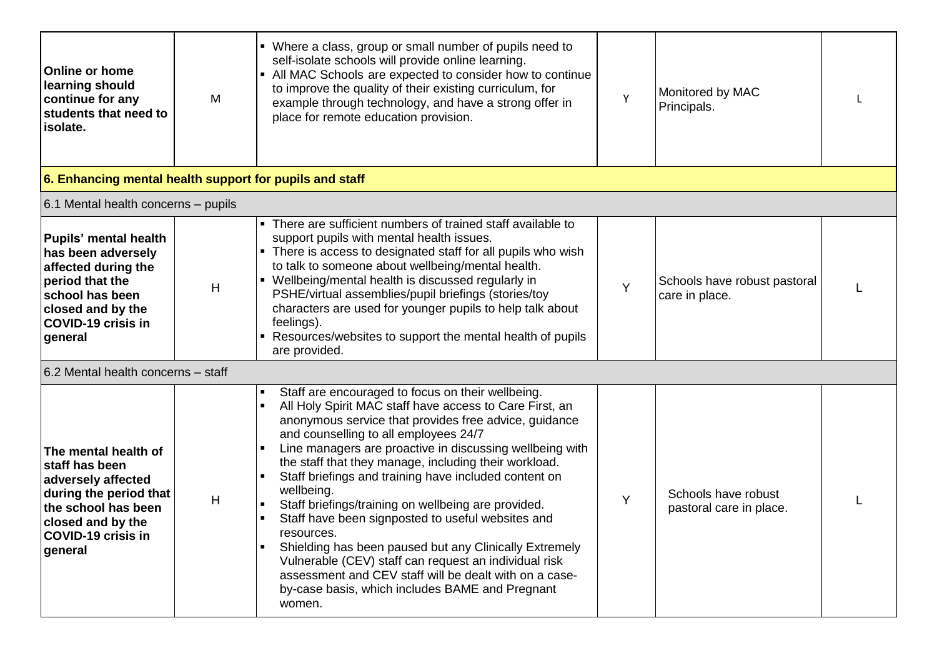| <b>Online or home</b><br>learning should<br>continue for any<br>students that need to<br>isolate.                                                                          | M | • Where a class, group or small number of pupils need to<br>self-isolate schools will provide online learning.<br>• All MAC Schools are expected to consider how to continue<br>to improve the quality of their existing curriculum, for<br>example through technology, and have a strong offer in<br>place for remote education provision.                                                                                                                                                                                                                                                                                                                                                                                                                                                                                                                 | Y | Monitored by MAC<br>Principals.                |  |
|----------------------------------------------------------------------------------------------------------------------------------------------------------------------------|---|-------------------------------------------------------------------------------------------------------------------------------------------------------------------------------------------------------------------------------------------------------------------------------------------------------------------------------------------------------------------------------------------------------------------------------------------------------------------------------------------------------------------------------------------------------------------------------------------------------------------------------------------------------------------------------------------------------------------------------------------------------------------------------------------------------------------------------------------------------------|---|------------------------------------------------|--|
| 6. Enhancing mental health support for pupils and staff                                                                                                                    |   |                                                                                                                                                                                                                                                                                                                                                                                                                                                                                                                                                                                                                                                                                                                                                                                                                                                             |   |                                                |  |
| 6.1 Mental health concerns - pupils                                                                                                                                        |   |                                                                                                                                                                                                                                                                                                                                                                                                                                                                                                                                                                                                                                                                                                                                                                                                                                                             |   |                                                |  |
| <b>Pupils' mental health</b><br>has been adversely<br>affected during the<br>period that the<br>school has been<br>closed and by the<br>COVID-19 crisis in<br>general      | H | There are sufficient numbers of trained staff available to<br>support pupils with mental health issues.<br>• There is access to designated staff for all pupils who wish<br>to talk to someone about wellbeing/mental health.<br>• Wellbeing/mental health is discussed regularly in<br>PSHE/virtual assemblies/pupil briefings (stories/toy<br>characters are used for younger pupils to help talk about<br>feelings).<br>• Resources/websites to support the mental health of pupils<br>are provided.                                                                                                                                                                                                                                                                                                                                                     | Y | Schools have robust pastoral<br>care in place. |  |
| 6.2 Mental health concerns - staff                                                                                                                                         |   |                                                                                                                                                                                                                                                                                                                                                                                                                                                                                                                                                                                                                                                                                                                                                                                                                                                             |   |                                                |  |
| The mental health of<br>staff has been<br>adversely affected<br>during the period that<br>the school has been<br>closed and by the<br><b>COVID-19 crisis in</b><br>general | Н | Staff are encouraged to focus on their wellbeing.<br>٠<br>All Holy Spirit MAC staff have access to Care First, an<br>$\blacksquare$<br>anonymous service that provides free advice, guidance<br>and counselling to all employees 24/7<br>Line managers are proactive in discussing wellbeing with<br>$\blacksquare$<br>the staff that they manage, including their workload.<br>Staff briefings and training have included content on<br>$\blacksquare$<br>wellbeing.<br>Staff briefings/training on wellbeing are provided.<br>Staff have been signposted to useful websites and<br>resources.<br>Shielding has been paused but any Clinically Extremely<br>$\blacksquare$<br>Vulnerable (CEV) staff can request an individual risk<br>assessment and CEV staff will be dealt with on a case-<br>by-case basis, which includes BAME and Pregnant<br>women. | Y | Schools have robust<br>pastoral care in place. |  |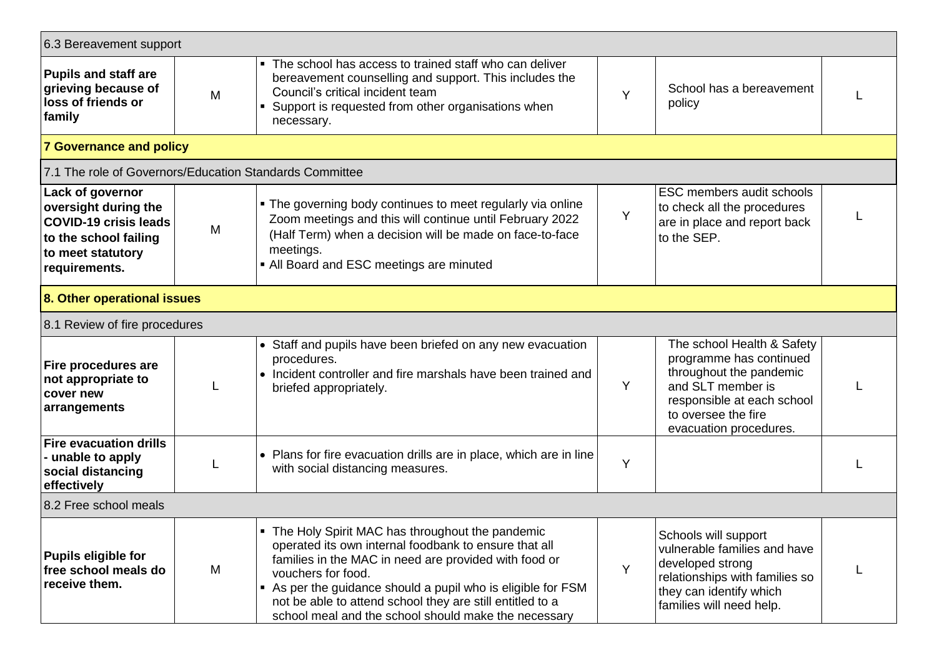| 6.3 Bereavement support                                                                                                                 |   |                                                                                                                                                                                                                                                                                                                                                                              |   |                                                                                                                                                                                      |  |
|-----------------------------------------------------------------------------------------------------------------------------------------|---|------------------------------------------------------------------------------------------------------------------------------------------------------------------------------------------------------------------------------------------------------------------------------------------------------------------------------------------------------------------------------|---|--------------------------------------------------------------------------------------------------------------------------------------------------------------------------------------|--|
| <b>Pupils and staff are</b><br>grieving because of<br>loss of friends or<br>family                                                      | M | The school has access to trained staff who can deliver<br>$\blacksquare$<br>bereavement counselling and support. This includes the<br>Council's critical incident team<br>Support is requested from other organisations when<br>necessary.                                                                                                                                   |   | School has a bereavement<br>policy                                                                                                                                                   |  |
| <b>7 Governance and policy</b>                                                                                                          |   |                                                                                                                                                                                                                                                                                                                                                                              |   |                                                                                                                                                                                      |  |
| 7.1 The role of Governors/Education Standards Committee                                                                                 |   |                                                                                                                                                                                                                                                                                                                                                                              |   |                                                                                                                                                                                      |  |
| Lack of governor<br>oversight during the<br><b>COVID-19 crisis leads</b><br>to the school failing<br>to meet statutory<br>requirements. | M | . The governing body continues to meet regularly via online<br>Zoom meetings and this will continue until February 2022<br>(Half Term) when a decision will be made on face-to-face<br>meetings.<br>• All Board and ESC meetings are minuted                                                                                                                                 | Y | ESC members audit schools<br>to check all the procedures<br>are in place and report back<br>to the SEP.                                                                              |  |
| 8. Other operational issues                                                                                                             |   |                                                                                                                                                                                                                                                                                                                                                                              |   |                                                                                                                                                                                      |  |
| 8.1 Review of fire procedures                                                                                                           |   |                                                                                                                                                                                                                                                                                                                                                                              |   |                                                                                                                                                                                      |  |
| Fire procedures are<br>not appropriate to<br>cover new<br>arrangements                                                                  |   | • Staff and pupils have been briefed on any new evacuation<br>procedures.<br>• Incident controller and fire marshals have been trained and<br>briefed appropriately.                                                                                                                                                                                                         | Y | The school Health & Safety<br>programme has continued<br>throughout the pandemic<br>and SLT member is<br>responsible at each school<br>to oversee the fire<br>evacuation procedures. |  |
| <b>Fire evacuation drills</b><br>- unable to apply<br>social distancing<br>effectively                                                  |   | • Plans for fire evacuation drills are in place, which are in line<br>with social distancing measures.                                                                                                                                                                                                                                                                       | Y |                                                                                                                                                                                      |  |
| 8.2 Free school meals                                                                                                                   |   |                                                                                                                                                                                                                                                                                                                                                                              |   |                                                                                                                                                                                      |  |
| <b>Pupils eligible for</b><br>free school meals do<br>receive them.                                                                     | M | • The Holy Spirit MAC has throughout the pandemic<br>operated its own internal foodbank to ensure that all<br>families in the MAC in need are provided with food or<br>vouchers for food.<br>As per the guidance should a pupil who is eligible for FSM<br>not be able to attend school they are still entitled to a<br>school meal and the school should make the necessary | Y | Schools will support<br>vulnerable families and have<br>developed strong<br>relationships with families so<br>they can identify which<br>families will need help.                    |  |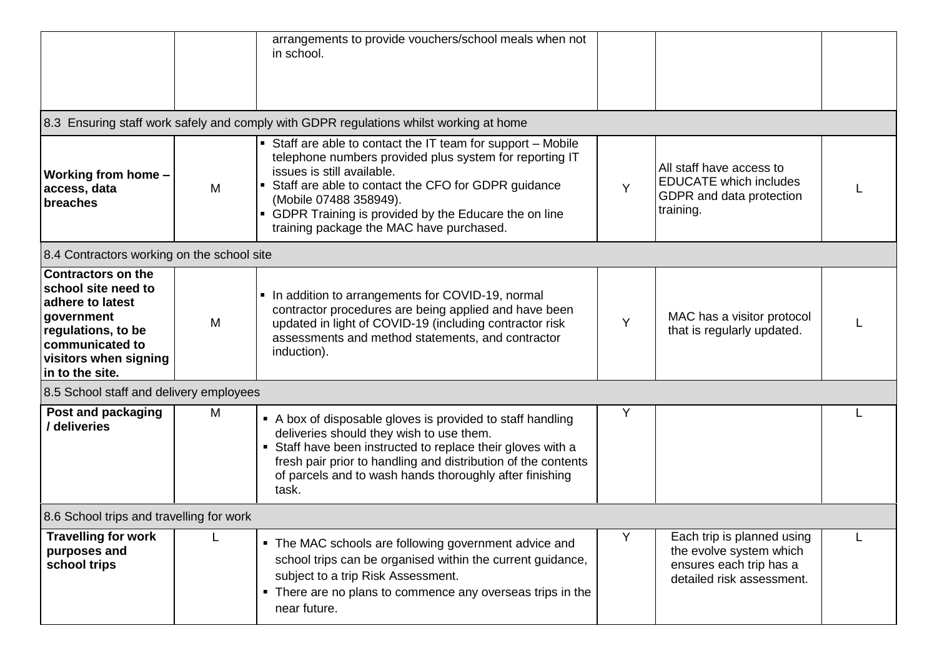|                                                                                                                                                                         |   | arrangements to provide vouchers/school meals when not<br>in school.                                                                                                                                                                                                                                                                         |   |                                                                                                               |  |
|-------------------------------------------------------------------------------------------------------------------------------------------------------------------------|---|----------------------------------------------------------------------------------------------------------------------------------------------------------------------------------------------------------------------------------------------------------------------------------------------------------------------------------------------|---|---------------------------------------------------------------------------------------------------------------|--|
|                                                                                                                                                                         |   | 8.3 Ensuring staff work safely and comply with GDPR regulations whilst working at home                                                                                                                                                                                                                                                       |   |                                                                                                               |  |
| Working from home -<br>access, data<br>breaches                                                                                                                         | M | • Staff are able to contact the IT team for support - Mobile<br>telephone numbers provided plus system for reporting IT<br>issues is still available.<br>Staff are able to contact the CFO for GDPR guidance<br>(Mobile 07488 358949).<br>• GDPR Training is provided by the Educare the on line<br>training package the MAC have purchased. | Y | All staff have access to<br><b>EDUCATE</b> which includes<br>GDPR and data protection<br>training.            |  |
| 8.4 Contractors working on the school site                                                                                                                              |   |                                                                                                                                                                                                                                                                                                                                              |   |                                                                                                               |  |
| <b>Contractors on the</b><br>school site need to<br>adhere to latest<br>government<br>regulations, to be<br>communicated to<br>visitors when signing<br>in to the site. | M | • In addition to arrangements for COVID-19, normal<br>contractor procedures are being applied and have been<br>updated in light of COVID-19 (including contractor risk<br>assessments and method statements, and contractor<br>induction).                                                                                                   | Y | MAC has a visitor protocol<br>that is regularly updated.                                                      |  |
| 8.5 School staff and delivery employees                                                                                                                                 |   |                                                                                                                                                                                                                                                                                                                                              |   |                                                                                                               |  |
| Post and packaging<br>/ deliveries                                                                                                                                      | M | • A box of disposable gloves is provided to staff handling<br>deliveries should they wish to use them.<br>• Staff have been instructed to replace their gloves with a<br>fresh pair prior to handling and distribution of the contents<br>of parcels and to wash hands thoroughly after finishing<br>task.                                   | Y |                                                                                                               |  |
| 8.6 School trips and travelling for work                                                                                                                                |   |                                                                                                                                                                                                                                                                                                                                              |   |                                                                                                               |  |
| <b>Travelling for work</b><br>purposes and<br>school trips                                                                                                              |   | • The MAC schools are following government advice and<br>school trips can be organised within the current guidance,<br>subject to a trip Risk Assessment.<br>• There are no plans to commence any overseas trips in the<br>near future.                                                                                                      | Y | Each trip is planned using<br>the evolve system which<br>ensures each trip has a<br>detailed risk assessment. |  |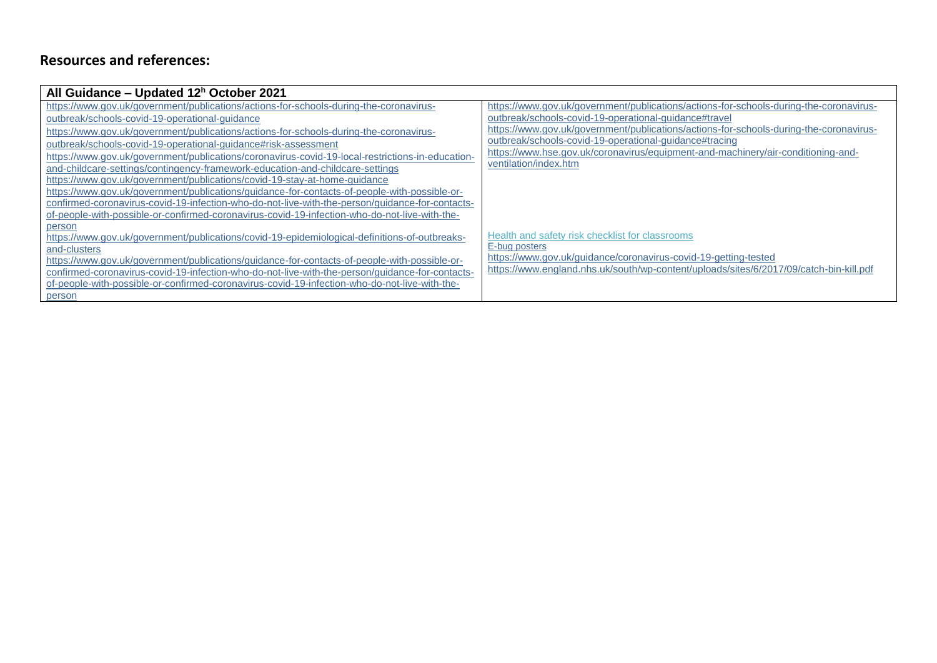## **Resources and references:**

| All Guidance – Updated $12h$ October 2021                                                                     |                                                                                        |
|---------------------------------------------------------------------------------------------------------------|----------------------------------------------------------------------------------------|
| https://www.gov.uk/government/publications/actions-for-schools-during-the-coronavirus-                        | https://www.gov.uk/government/publications/actions-for-schools-during-the-coronavirus- |
| outbreak/schools-covid-19-operational-guidance                                                                | outbreak/schools-covid-19-operational-quidance#travel                                  |
| https://www.gov.uk/government/publications/actions-for-schools-during-the-coronavirus-                        | https://www.gov.uk/government/publications/actions-for-schools-during-the-coronavirus- |
| outbreak/schools-covid-19-operational-quidance#risk-assessment                                                | outbreak/schools-covid-19-operational-guidance#tracing                                 |
| https://www.gov.uk/government/publications/coronavirus-covid-19-local-restrictions-in-education-              | https://www.hse.gov.uk/coronavirus/equipment-and-machinery/air-conditioning-and-       |
| and-childcare-settings/contingency-framework-education-and-childcare-settings                                 | ventilation/index.htm                                                                  |
| https://www.gov.uk/government/publications/covid-19-stay-at-home-quidance                                     |                                                                                        |
| https://www.gov.uk/government/publications/guidance-for-contacts-of-people-with-possible-or-                  |                                                                                        |
| confirmed-coronavirus-covid-19-infection-who-do-not-live-with-the-person/guidance-for-contacts-               |                                                                                        |
| of-people-with-possible-or-confirmed-coronavirus-covid-19-infection-who-do-not-live-with-the-                 |                                                                                        |
| person                                                                                                        | Health and safety risk checklist for classrooms                                        |
| https://www.gov.uk/government/publications/covid-19-epidemiological-definitions-of-outbreaks-<br>and-clusters | E-bug posters                                                                          |
| https://www.gov.uk/government/publications/guidance-for-contacts-of-people-with-possible-or-                  | https://www.gov.uk/guidance/coronavirus-covid-19-getting-tested                        |
| confirmed-coronavirus-covid-19-infection-who-do-not-live-with-the-person/guidance-for-contacts-               | https://www.england.nhs.uk/south/wp-content/uploads/sites/6/2017/09/catch-bin-kill.pdf |
| of-people-with-possible-or-confirmed-coronavirus-covid-19-infection-who-do-not-live-with-the-                 |                                                                                        |
| person                                                                                                        |                                                                                        |